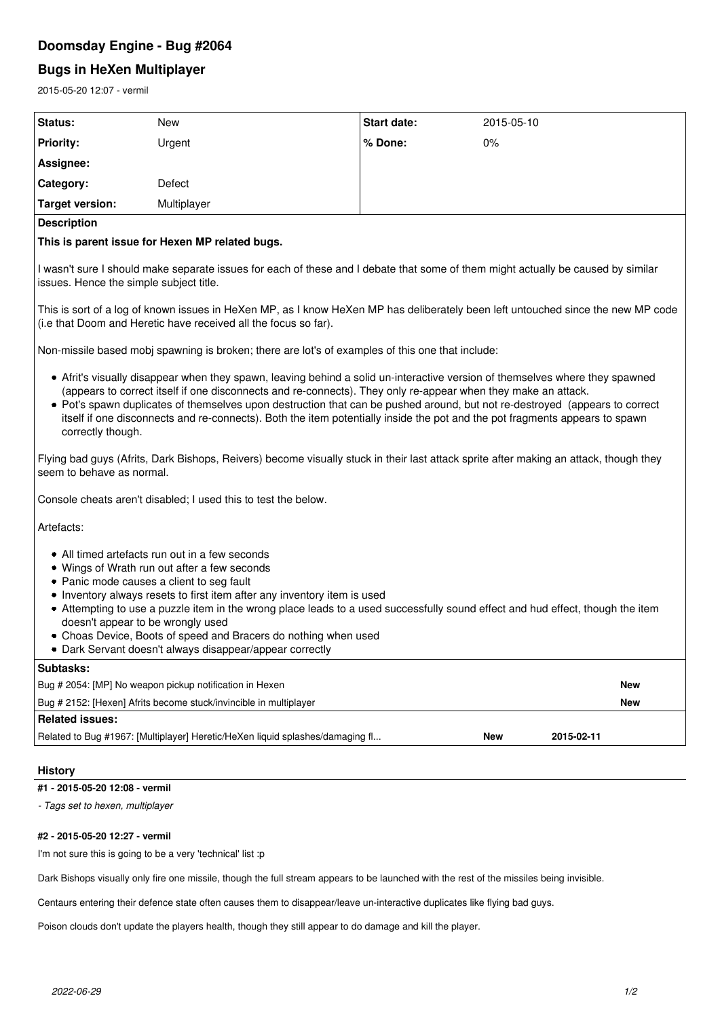# **Doomsday Engine - Bug #2064**

# **Bugs in HeXen Multiplayer**

2015-05-20 12:07 - vermil

| <b>New</b><br>Start date:<br>2015-05-10<br>Urgent<br>% Done:<br>0%<br>Defect<br>Multiplayer<br>This is parent issue for Hexen MP related bugs.<br>I wasn't sure I should make separate issues for each of these and I debate that some of them might actually be caused by similar<br>issues. Hence the simple subject title.<br>This is sort of a log of known issues in HeXen MP, as I know HeXen MP has deliberately been left untouched since the new MP code<br>(i.e that Doom and Heretic have received all the focus so far).<br>• Afrit's visually disappear when they spawn, leaving behind a solid un-interactive version of themselves where they spawned<br>(appears to correct itself if one disconnects and re-connects). They only re-appear when they make an attack.<br>• Pot's spawn duplicates of themselves upon destruction that can be pushed around, but not re-destroyed (appears to correct<br>itself if one disconnects and re-connects). Both the item potentially inside the pot and the pot fragments appears to spawn<br>correctly though.<br>Console cheats aren't disabled; I used this to test the below.<br>• All timed artefacts run out in a few seconds<br>• Wings of Wrath run out after a few seconds<br>• Panic mode causes a client to seg fault<br>• Inventory always resets to first item after any inventory item is used<br>• Attempting to use a puzzle item in the wrong place leads to a used successfully sound effect and hud effect, though the item<br>doesn't appear to be wrongly used<br>• Choas Device, Boots of speed and Bracers do nothing when used<br>Dark Servant doesn't always disappear/appear correctly<br>٠<br>Bug # 2054: [MP] No weapon pickup notification in Hexen<br>New<br>Bug # 2152: [Hexen] Afrits become stuck/invincible in multiplayer<br><b>New</b><br>Related to Bug #1967: [Multiplayer] Heretic/HeXen liquid splashes/damaging fl<br>2015-02-11<br><b>New</b><br><b>History</b><br>#1 - 2015-05-20 12:08 - vermil | 2015-05-20 12:07 - vermil                                                                                                                                          |  |  |  |  |  |
|------------------------------------------------------------------------------------------------------------------------------------------------------------------------------------------------------------------------------------------------------------------------------------------------------------------------------------------------------------------------------------------------------------------------------------------------------------------------------------------------------------------------------------------------------------------------------------------------------------------------------------------------------------------------------------------------------------------------------------------------------------------------------------------------------------------------------------------------------------------------------------------------------------------------------------------------------------------------------------------------------------------------------------------------------------------------------------------------------------------------------------------------------------------------------------------------------------------------------------------------------------------------------------------------------------------------------------------------------------------------------------------------------------------------------------------------------------------------------------------------------------------------------------------------------------------------------------------------------------------------------------------------------------------------------------------------------------------------------------------------------------------------------------------------------------------------------------------------------------------------------------------------------------------------------------------------------------------------------------------------------|--------------------------------------------------------------------------------------------------------------------------------------------------------------------|--|--|--|--|--|
|                                                                                                                                                                                                                                                                                                                                                                                                                                                                                                                                                                                                                                                                                                                                                                                                                                                                                                                                                                                                                                                                                                                                                                                                                                                                                                                                                                                                                                                                                                                                                                                                                                                                                                                                                                                                                                                                                                                                                                                                      | Status:                                                                                                                                                            |  |  |  |  |  |
|                                                                                                                                                                                                                                                                                                                                                                                                                                                                                                                                                                                                                                                                                                                                                                                                                                                                                                                                                                                                                                                                                                                                                                                                                                                                                                                                                                                                                                                                                                                                                                                                                                                                                                                                                                                                                                                                                                                                                                                                      | <b>Priority:</b>                                                                                                                                                   |  |  |  |  |  |
|                                                                                                                                                                                                                                                                                                                                                                                                                                                                                                                                                                                                                                                                                                                                                                                                                                                                                                                                                                                                                                                                                                                                                                                                                                                                                                                                                                                                                                                                                                                                                                                                                                                                                                                                                                                                                                                                                                                                                                                                      | Assignee:                                                                                                                                                          |  |  |  |  |  |
|                                                                                                                                                                                                                                                                                                                                                                                                                                                                                                                                                                                                                                                                                                                                                                                                                                                                                                                                                                                                                                                                                                                                                                                                                                                                                                                                                                                                                                                                                                                                                                                                                                                                                                                                                                                                                                                                                                                                                                                                      | Category:                                                                                                                                                          |  |  |  |  |  |
|                                                                                                                                                                                                                                                                                                                                                                                                                                                                                                                                                                                                                                                                                                                                                                                                                                                                                                                                                                                                                                                                                                                                                                                                                                                                                                                                                                                                                                                                                                                                                                                                                                                                                                                                                                                                                                                                                                                                                                                                      | <b>Target version:</b>                                                                                                                                             |  |  |  |  |  |
|                                                                                                                                                                                                                                                                                                                                                                                                                                                                                                                                                                                                                                                                                                                                                                                                                                                                                                                                                                                                                                                                                                                                                                                                                                                                                                                                                                                                                                                                                                                                                                                                                                                                                                                                                                                                                                                                                                                                                                                                      | <b>Description</b>                                                                                                                                                 |  |  |  |  |  |
|                                                                                                                                                                                                                                                                                                                                                                                                                                                                                                                                                                                                                                                                                                                                                                                                                                                                                                                                                                                                                                                                                                                                                                                                                                                                                                                                                                                                                                                                                                                                                                                                                                                                                                                                                                                                                                                                                                                                                                                                      |                                                                                                                                                                    |  |  |  |  |  |
|                                                                                                                                                                                                                                                                                                                                                                                                                                                                                                                                                                                                                                                                                                                                                                                                                                                                                                                                                                                                                                                                                                                                                                                                                                                                                                                                                                                                                                                                                                                                                                                                                                                                                                                                                                                                                                                                                                                                                                                                      |                                                                                                                                                                    |  |  |  |  |  |
|                                                                                                                                                                                                                                                                                                                                                                                                                                                                                                                                                                                                                                                                                                                                                                                                                                                                                                                                                                                                                                                                                                                                                                                                                                                                                                                                                                                                                                                                                                                                                                                                                                                                                                                                                                                                                                                                                                                                                                                                      |                                                                                                                                                                    |  |  |  |  |  |
|                                                                                                                                                                                                                                                                                                                                                                                                                                                                                                                                                                                                                                                                                                                                                                                                                                                                                                                                                                                                                                                                                                                                                                                                                                                                                                                                                                                                                                                                                                                                                                                                                                                                                                                                                                                                                                                                                                                                                                                                      | Non-missile based mobj spawning is broken; there are lot's of examples of this one that include:                                                                   |  |  |  |  |  |
|                                                                                                                                                                                                                                                                                                                                                                                                                                                                                                                                                                                                                                                                                                                                                                                                                                                                                                                                                                                                                                                                                                                                                                                                                                                                                                                                                                                                                                                                                                                                                                                                                                                                                                                                                                                                                                                                                                                                                                                                      |                                                                                                                                                                    |  |  |  |  |  |
|                                                                                                                                                                                                                                                                                                                                                                                                                                                                                                                                                                                                                                                                                                                                                                                                                                                                                                                                                                                                                                                                                                                                                                                                                                                                                                                                                                                                                                                                                                                                                                                                                                                                                                                                                                                                                                                                                                                                                                                                      | Flying bad guys (Afrits, Dark Bishops, Reivers) become visually stuck in their last attack sprite after making an attack, though they<br>seem to behave as normal. |  |  |  |  |  |
|                                                                                                                                                                                                                                                                                                                                                                                                                                                                                                                                                                                                                                                                                                                                                                                                                                                                                                                                                                                                                                                                                                                                                                                                                                                                                                                                                                                                                                                                                                                                                                                                                                                                                                                                                                                                                                                                                                                                                                                                      |                                                                                                                                                                    |  |  |  |  |  |
|                                                                                                                                                                                                                                                                                                                                                                                                                                                                                                                                                                                                                                                                                                                                                                                                                                                                                                                                                                                                                                                                                                                                                                                                                                                                                                                                                                                                                                                                                                                                                                                                                                                                                                                                                                                                                                                                                                                                                                                                      | Artefacts:                                                                                                                                                         |  |  |  |  |  |
|                                                                                                                                                                                                                                                                                                                                                                                                                                                                                                                                                                                                                                                                                                                                                                                                                                                                                                                                                                                                                                                                                                                                                                                                                                                                                                                                                                                                                                                                                                                                                                                                                                                                                                                                                                                                                                                                                                                                                                                                      |                                                                                                                                                                    |  |  |  |  |  |
|                                                                                                                                                                                                                                                                                                                                                                                                                                                                                                                                                                                                                                                                                                                                                                                                                                                                                                                                                                                                                                                                                                                                                                                                                                                                                                                                                                                                                                                                                                                                                                                                                                                                                                                                                                                                                                                                                                                                                                                                      | Subtasks:                                                                                                                                                          |  |  |  |  |  |
|                                                                                                                                                                                                                                                                                                                                                                                                                                                                                                                                                                                                                                                                                                                                                                                                                                                                                                                                                                                                                                                                                                                                                                                                                                                                                                                                                                                                                                                                                                                                                                                                                                                                                                                                                                                                                                                                                                                                                                                                      |                                                                                                                                                                    |  |  |  |  |  |
|                                                                                                                                                                                                                                                                                                                                                                                                                                                                                                                                                                                                                                                                                                                                                                                                                                                                                                                                                                                                                                                                                                                                                                                                                                                                                                                                                                                                                                                                                                                                                                                                                                                                                                                                                                                                                                                                                                                                                                                                      |                                                                                                                                                                    |  |  |  |  |  |
|                                                                                                                                                                                                                                                                                                                                                                                                                                                                                                                                                                                                                                                                                                                                                                                                                                                                                                                                                                                                                                                                                                                                                                                                                                                                                                                                                                                                                                                                                                                                                                                                                                                                                                                                                                                                                                                                                                                                                                                                      | <b>Related issues:</b>                                                                                                                                             |  |  |  |  |  |
|                                                                                                                                                                                                                                                                                                                                                                                                                                                                                                                                                                                                                                                                                                                                                                                                                                                                                                                                                                                                                                                                                                                                                                                                                                                                                                                                                                                                                                                                                                                                                                                                                                                                                                                                                                                                                                                                                                                                                                                                      |                                                                                                                                                                    |  |  |  |  |  |
|                                                                                                                                                                                                                                                                                                                                                                                                                                                                                                                                                                                                                                                                                                                                                                                                                                                                                                                                                                                                                                                                                                                                                                                                                                                                                                                                                                                                                                                                                                                                                                                                                                                                                                                                                                                                                                                                                                                                                                                                      |                                                                                                                                                                    |  |  |  |  |  |
|                                                                                                                                                                                                                                                                                                                                                                                                                                                                                                                                                                                                                                                                                                                                                                                                                                                                                                                                                                                                                                                                                                                                                                                                                                                                                                                                                                                                                                                                                                                                                                                                                                                                                                                                                                                                                                                                                                                                                                                                      |                                                                                                                                                                    |  |  |  |  |  |
| - Tags set to hexen, multiplayer                                                                                                                                                                                                                                                                                                                                                                                                                                                                                                                                                                                                                                                                                                                                                                                                                                                                                                                                                                                                                                                                                                                                                                                                                                                                                                                                                                                                                                                                                                                                                                                                                                                                                                                                                                                                                                                                                                                                                                     |                                                                                                                                                                    |  |  |  |  |  |

# **#2 - 2015-05-20 12:27 - vermil**

I'm not sure this is going to be a very 'technical' list :p

Dark Bishops visually only fire one missile, though the full stream appears to be launched with the rest of the missiles being invisible.

Centaurs entering their defence state often causes them to disappear/leave un-interactive duplicates like flying bad guys.

Poison clouds don't update the players health, though they still appear to do damage and kill the player.